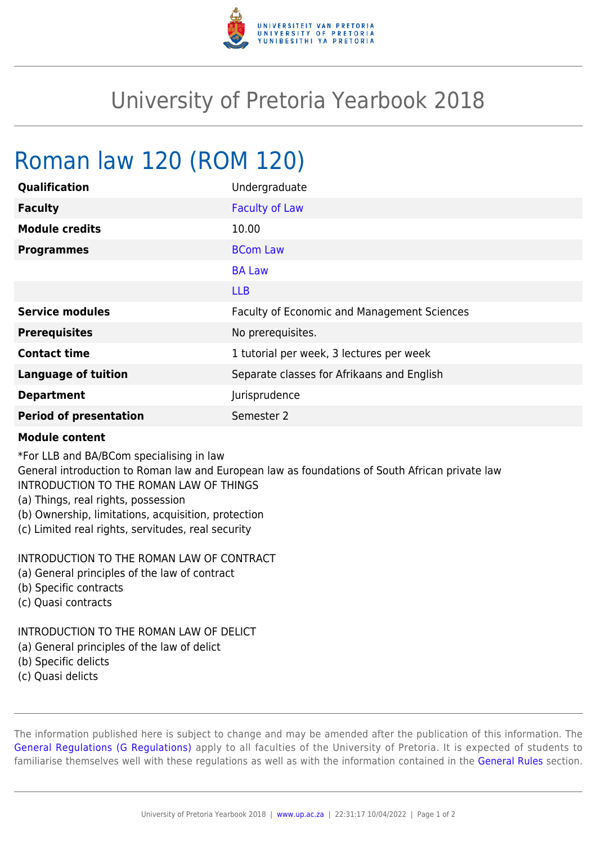

## University of Pretoria Yearbook 2018

# Roman law 120 (ROM 120)

| Qualification              | Undergraduate                               |
|----------------------------|---------------------------------------------|
| <b>Faculty</b>             | <b>Faculty of Law</b>                       |
| <b>Module credits</b>      | 10.00                                       |
| <b>Programmes</b>          | <b>BCom Law</b>                             |
|                            | <b>BA Law</b>                               |
|                            | <b>LLB</b>                                  |
| <b>Service modules</b>     | Faculty of Economic and Management Sciences |
| <b>Prerequisites</b>       | No prerequisites.                           |
| <b>Contact time</b>        | 1 tutorial per week, 3 lectures per week    |
|                            |                                             |
| <b>Language of tuition</b> | Separate classes for Afrikaans and English  |
| <b>Department</b>          | Jurisprudence                               |

#### **Module content**

\*For LLB and BA/BCom specialising in law

General introduction to Roman law and European law as foundations of South African private law INTRODUCTION TO THE ROMAN LAW OF THINGS

- (a) Things, real rights, possession
- (b) Ownership, limitations, acquisition, protection
- (c) Limited real rights, servitudes, real security

### INTRODUCTION TO THE ROMAN LAW OF CONTRACT

- (a) General principles of the law of contract
- (b) Specific contracts
- (c) Quasi contracts

#### INTRODUCTION TO THE ROMAN LAW OF DELICT

- (a) General principles of the law of delict
- (b) Specific delicts
- (c) Quasi delicts

The information published here is subject to change and may be amended after the publication of this information. The [General Regulations \(G Regulations\)](https://www.up.ac.za/faculty-of-education/yearbooks/2018/rules/view/REG) apply to all faculties of the University of Pretoria. It is expected of students to familiarise themselves well with these regulations as well as with the information contained in the [General Rules](https://www.up.ac.za/faculty-of-education/yearbooks/2018/rules/view/RUL) section.